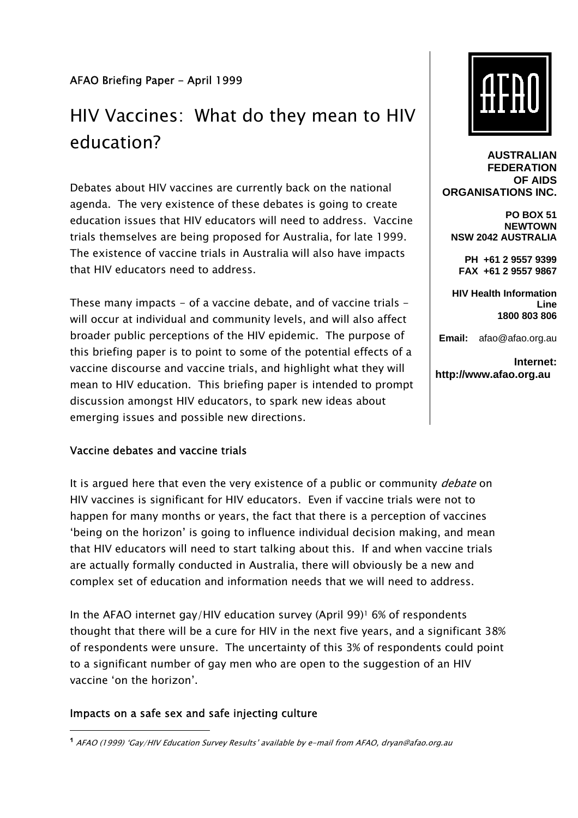## AFAO Briefing Paper - April 1999

# HIV Vaccines: What do they mean to HIV education?

Debates about HIV vaccines are currently back on the national agenda. The very existence of these debates is going to create education issues that HIV educators will need to address. Vaccine trials themselves are being proposed for Australia, for late 1999. The existence of vaccine trials in Australia will also have impacts that HIV educators need to address.

These many impacts  $-$  of a vaccine debate, and of vaccine trials  $$ will occur at individual and community levels, and will also affect broader public perceptions of the HIV epidemic. The purpose of this briefing paper is to point to some of the potential effects of a vaccine discourse and vaccine trials, and highlight what they will mean to HIV education. This briefing paper is intended to prompt discussion amongst HIV educators, to spark new ideas about emerging issues and possible new directions.

#### Vaccine debates and vaccine trials

It is argued here that even the very existence of a public or community *debate* on HIV vaccines is significant for HIV educators. Even if vaccine trials were not to happen for many months or years, the fact that there is a perception of vaccines 'being on the horizon' is going to influence individual decision making, and mean that HIV educators will need to start talking about this. If and when vaccine trials are actually formally conducted in Australia, there will obviously be a new and complex set of education and information needs that we will need to address.

In the AFAO internet gay/HIV education survey (April 99)1 6% of respondents thought that there will be a cure for HIV in the next five years, and a significant 38% of respondents were unsure. The uncertainty of this 3% of respondents could point to a significant number of gay men who are open to the suggestion of an HIV vaccine 'on the horizon'.

## Impacts on a safe sex and safe injecting culture



**AUSTRALIAN FEDERATION OF AIDS ORGANISATIONS INC.**

**PO BOX 51 NEWTOWN NSW 2042 AUSTRALIA** 

**PH +61 2 9557 9399 FAX +61 2 9557 9867** 

**HIV Health Information Line 1800 803 806**

**Email:** afao@afao.org.au

**Internet: http://www.afao.org.au**

**<sup>&</sup>lt;sup>1</sup>** AFAO (1999) 'Gay/HIV Education Survey Results' available by e-mail from AFAO, dryan@afao.org.au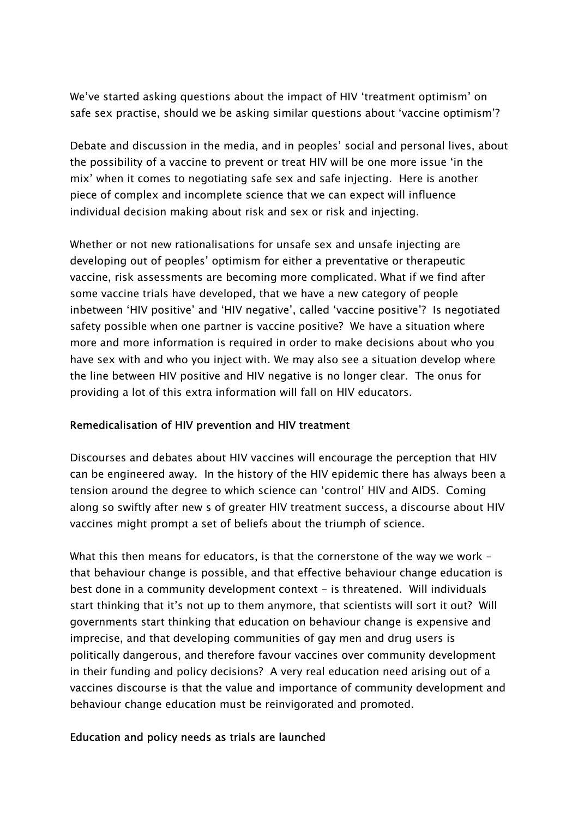We've started asking questions about the impact of HIV 'treatment optimism' on safe sex practise, should we be asking similar questions about 'vaccine optimism'?

Debate and discussion in the media, and in peoples' social and personal lives, about the possibility of a vaccine to prevent or treat HIV will be one more issue 'in the mix' when it comes to negotiating safe sex and safe injecting. Here is another piece of complex and incomplete science that we can expect will influence individual decision making about risk and sex or risk and injecting.

Whether or not new rationalisations for unsafe sex and unsafe injecting are developing out of peoples' optimism for either a preventative or therapeutic vaccine, risk assessments are becoming more complicated. What if we find after some vaccine trials have developed, that we have a new category of people inbetween 'HIV positive' and 'HIV negative', called 'vaccine positive'? Is negotiated safety possible when one partner is vaccine positive? We have a situation where more and more information is required in order to make decisions about who you have sex with and who you inject with. We may also see a situation develop where the line between HIV positive and HIV negative is no longer clear. The onus for providing a lot of this extra information will fall on HIV educators.

## Remedicalisation of HIV prevention and HIV treatment

Discourses and debates about HIV vaccines will encourage the perception that HIV can be engineered away. In the history of the HIV epidemic there has always been a tension around the degree to which science can 'control' HIV and AIDS. Coming along so swiftly after new s of greater HIV treatment success, a discourse about HIV vaccines might prompt a set of beliefs about the triumph of science.

What this then means for educators, is that the cornerstone of the way we work that behaviour change is possible, and that effective behaviour change education is best done in a community development context - is threatened. Will individuals start thinking that it's not up to them anymore, that scientists will sort it out? Will governments start thinking that education on behaviour change is expensive and imprecise, and that developing communities of gay men and drug users is politically dangerous, and therefore favour vaccines over community development in their funding and policy decisions? A very real education need arising out of a vaccines discourse is that the value and importance of community development and behaviour change education must be reinvigorated and promoted.

## Education and policy needs as trials are launched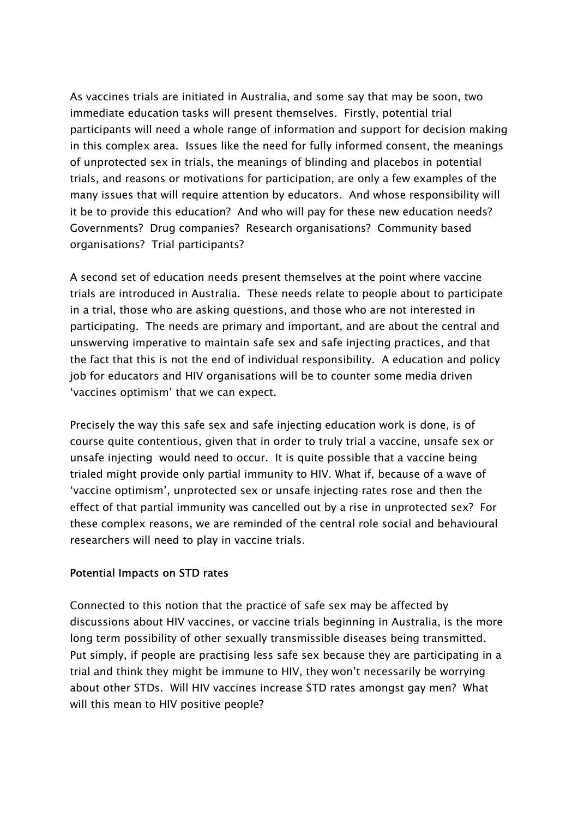As vaccines trials are initiated in Australia, and some say that may be soon, two immediate education tasks will present themselves. Firstly, potential trial participants will need a whole range of information and support for decision making in this complex area. Issues like the need for fully informed consent, the meanings of unprotected sex in trials, the meanings of blinding and placebos in potential trials, and reasons or motivations for participation, are only a few examples of the many issues that will require attention by educators. And whose responsibility will it be to provide this education? And who will pay for these new education needs? Governments? Drug companies? Research organisations? Community based organisations? Trial participants?

A second set of education needs present themselves at the point where vaccine trials are introduced in Australia. These needs relate to people about to participate in a trial, those who are asking questions, and those who are not interested in participating. The needs are primary and important, and are about the central and unswerving imperative to maintain safe sex and safe injecting practices, and that the fact that this is not the end of individual responsibility. A education and policy job for educators and HIV organisations will be to counter some media driven 'vaccines optimism' that we can expect.

Precisely the way this safe sex and safe injecting education work is done, is of course quite contentious, given that in order to truly trial a vaccine, unsafe sex or unsafe injecting would need to occur. It is quite possible that a vaccine being trialed might provide only partial immunity to HIV. What if, because of a wave of 'vaccine optimism', unprotected sex or unsafe injecting rates rose and then the effect of that partial immunity was cancelled out by a rise in unprotected sex? For these complex reasons, we are reminded of the central role social and behavioural researchers will need to play in vaccine trials.

#### Potential Impacts on STD rates

Connected to this notion that the practice of safe sex may be affected by discussions about HIV vaccines, or vaccine trials beginning in Australia, is the more long term possibility of other sexually transmissible diseases being transmitted. Put simply, if people are practising less safe sex because they are participating in a trial and think they might be immune to HIV, they won't necessarily be worrying about other STDs. Will HIV vaccines increase STD rates amongst gay men? What will this mean to HIV positive people?